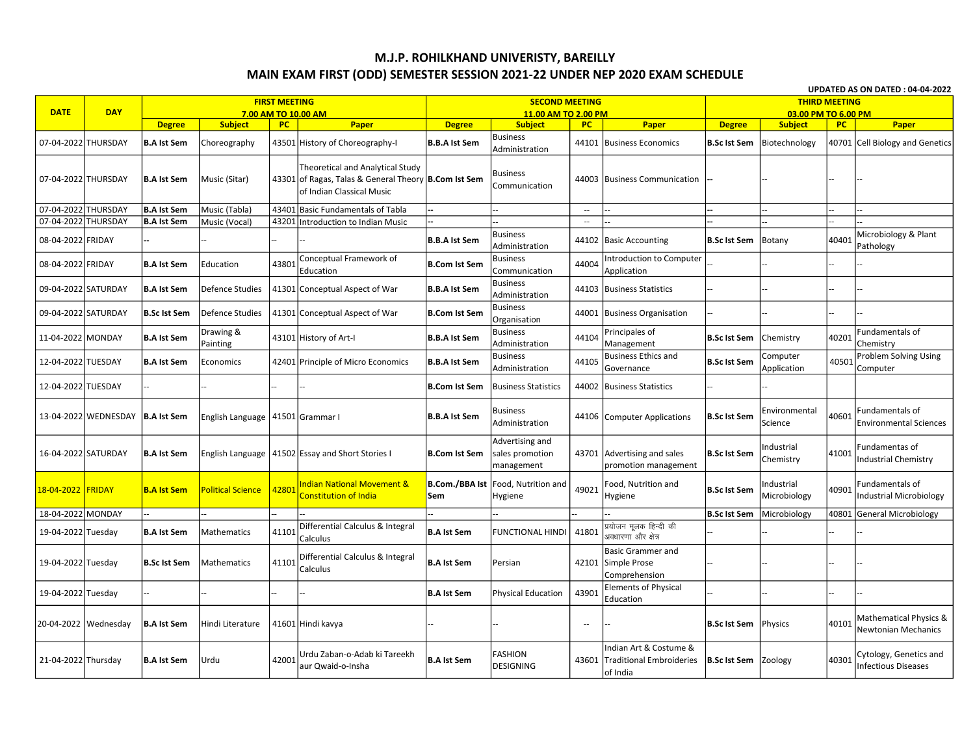## M.J.P. ROHILKHAND UNIVERISTY, BAREILLY MAIN EXAM FIRST (ODD) SEMESTER SESSION 2021-22 UNDER NEP 2020 EXAM SCHEDULE

UPDATED AS ON DATED : 04-04-2022 **FIRST MEETING SECOND MEETING THIRD MEETING DATE DAY** 7.00 AM TO 10.00 AM 11.00 AM TO 2.00 PM 03.00 PM TO 6.00 PM **Degree**  $PC$ **Degree Subject** PC. Paper **PC Degree Subject Subject** Paper Paper **Business** 07-04-2022 THURSDAY **B.A Ist Sem** Choreography 43501 History of Choreography-I **B.B.A Ist Sem** 44101 Business Economics **B.Sc Ist Sem** Biotechnology 40701 **Cell Biology and Genetics** Administration Theoretical and Analytical Study **Business** 07-04-2022 THURSDAY **B.A Ist Sem** Music (Sitar) 43301 of Ragas, Talas & General Theory B.Com Ist Sem 44003 Business Communication Communication of Indian Classical Music 07-04-2022 THURSDAY **B.A Ist Sem** Music (Tabla) 43401 Basic Fundamentals of Tabla  $\mathbb{Z}^2$ 07-04-2022 THURSDAY **B.A Ist Sem** Music (Vocal) 43201 Introduction to Indian Music  $\mathbb{Z}^2$ **Business** Microbiology & Plant **B.Sc Ist Sem** 40401 08-04-2022 FRIDAY **B.B.A Ist Sem** 44102 **Basic Accounting** Botany Administration Pathology Conceptual Framework of **Business Introduction to Computer** 08-04-2022 FRIDAY 4380 44004 **B.A Ist Sem Education B.Com Ist Sem** Application Education Communication **Business** 09-04-2022 SATURDAY **B.A Ist Sem** Defence Studies 41301 Conceptual Aspect of War **B.B.A Ist Sem** 44103 Business Statistics Administration **Business** 09-04-2022 SATURDAY **B.Sc Ist Sem Defence Studies** 41301 Conceptual Aspect of War **B.Com Ist Sem** 44001 Business Organisation Organisation Drawing & **Business** Principales of Fundamentals of 44104 40201 11-04-2022 MONDAY **B.A Ist Sem** 43101 History of Art-I **B.B.A Ist Sem B.Sc Ist Sem Chemistrv** Painting Administration Management Chemistry **Business Business Ethics and Problem Solving Using** Computer 12-04-2022 TUESDAY 44105 B.Sc Ist Sem 40501 **B.A Ist Sem** 42401 Principle of Micro Economics **B.B.A Ist Sem** Economics Administration Governance Application Computer 12-04-2022 TUESDAY **B.Com Ist Sem Business Statistics** 44002 Business Statistics Environmental Fundamentals of **Business** 13-04-2022 WEDNESDAY B.Sc Ist Sem 40601 **B.A Ist Sem English Language** 41501 Grammar I **B.B.A Ist Sem** 44106 Computer Applications Administration Science **Environmental Sciences** Advertising and Industrial Fundamentas of 16-04-2022 SATURDAY English Language **B.Sc Ist Sem** 41001 **B.A Ist Sem** 41502 Essay and Short Stories I **B.Com Ist Sem** sales promotion 43701 Advertising and sales Chemistry **Industrial Chemistry** management promotion management **Indian National Movement & B.Com./BBA Ist** Food. Nutrition and Food, Nutrition and Industrial Fundamentals of 18-04-2022 FRIDAY **B.A Ist Sem Political Science** 4280 49021 **B.Sc Ist Sem** 40901 Constitution of India Microbiology Industrial Microbiology Sem Hygiene Hygiene 18-04-2022 MONDAY **B.Sc Ist Sem** Microbiology 40801 General Microbiology Differential Calculus & Integral प्रयोजन मूलक हिन्दी की 4110 41801 19-04-2022 Tuesday **B.A Ist Sem** Mathematics **B.A Ist Sem FUNCTIONAL HINDI** ः<br>अवधारणा<sup>ं</sup> और क्षेत्र Calculus **Basic Grammer and** Differential Calculus & Integral 19-04-2022 Tuesday **B.Sc Ist Sem** Mathematics 4110 **B.A Ist Sem** Persian 42101 Simple Prose Calculus Comprehension **Elements of Physical** 19-04-2022 Tuesday **B.A Ist Sem Physical Education** 43901 Education Mathematical Physics & 40101 20-04-2022 Wednesday **B.A Ist Sem** Hindi Literature 41601 Hindi kavya **B.Sc Ist Sem** Physics  $\sim$ **Newtonian Mechanics** Indian Art & Costume & Urdu Zaban-o-Adab ki Tareekh **FASHION** Cytology, Genetics and 42001 **B.A Ist Sem** 43601  $\vert$ Traditional Embroideries  $\vert$  **B.Sc Ist Sem** 40301 21-04-2022 Thursday **B.A Ist Sem** Urdu **Zoology** aur Owaid-o-Insha **DESIGNING** Infectious Diseases of India